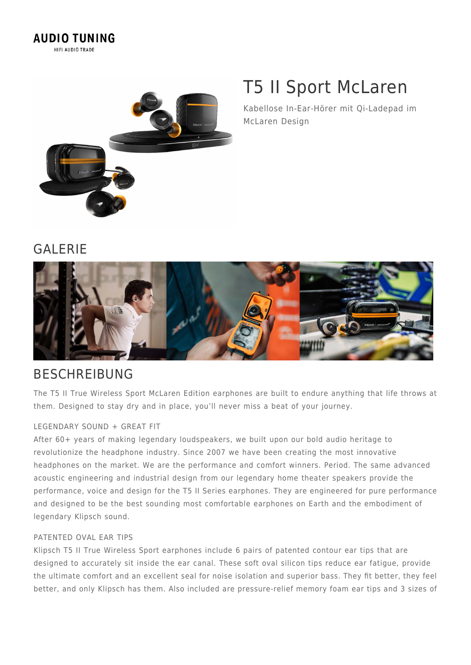

# T5 II Sport McLaren

Kabellose In-Ear-Hörer mit Qi-Ladepad im McLaren Design

### GALERIE



### BESCHREIBUNG

The T5 II True Wireless Sport McLaren Edition earphones are built to endure anything that life throws at them. Designed to stay dry and in place, you'll never miss a beat of your journey.

#### LEGENDARY SOUND + GREAT FIT

After 60+ years of making legendary loudspeakers, we built upon our bold audio heritage to revolutionize the headphone industry. Since 2007 we have been creating the most innovative headphones on the market. We are the performance and comfort winners. Period. The same advanced acoustic engineering and industrial design from our legendary home theater speakers provide the performance, voice and design for the T5 II Series earphones. They are engineered for pure performance and designed to be the best sounding most comfortable earphones on Earth and the embodiment of legendary Klipsch sound.

#### PATENTED OVAL EAR TIPS

Klipsch T5 II True Wireless Sport earphones include 6 pairs of patented contour ear tips that are designed to accurately sit inside the ear canal. These soft oval silicon tips reduce ear fatigue, provide the ultimate comfort and an excellent seal for noise isolation and superior bass. They fit better, they feel better, and only Klipsch has them. Also included are pressure-relief memory foam ear tips and 3 sizes of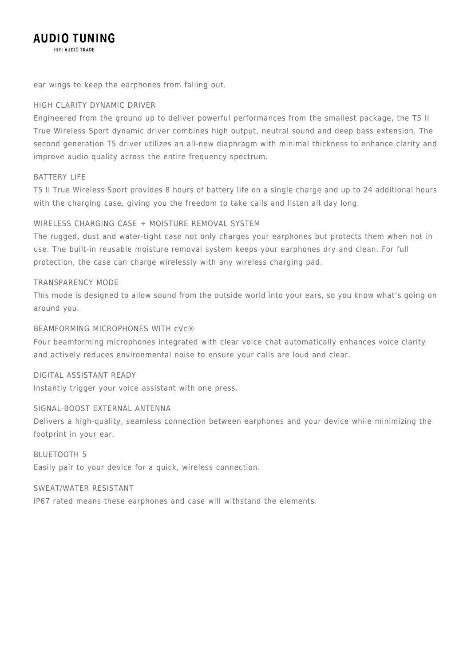#### **AUDIO TUNING** HIFI AUDIO TRADE

ear wings to keep the earphones from falling out.

#### HIGH CLARITY DYNAMIC DRIVER

Engineered from the ground up to deliver powerful performances from the smallest package, the T5 II True Wireless Sport dynamic driver combines high output, neutral sound and deep bass extension. The second generation T5 driver utilizes an all-new diaphragm with minimal thickness to enhance clarity and improve audio quality across the entire frequency spectrum.

#### BATTERY LIFE

T5 II True Wireless Sport provides 8 hours of battery life on a single charge and up to 24 additional hours with the charging case, giving you the freedom to take calls and listen all day long.

#### WIRELESS CHARGING CASE + MOISTURE REMOVAL SYSTEM

The rugged, dust and water-tight case not only charges your earphones but protects them when not in use. The built-in reusable moisture removal system keeps your earphones dry and clean. For full protection, the case can charge wirelessly with any wireless charging pad.

#### TRANSPARENCY MODE

This mode is designed to allow sound from the outside world into your ears, so you know what's going on around you.

#### BEAMFORMING MICROPHONES WITH cVc®

Four beamforming microphones integrated with clear voice chat automatically enhances voice clarity and actively reduces environmental noise to ensure your calls are loud and clear.

#### DIGITAL ASSISTANT READY

Instantly trigger your voice assistant with one press.

#### SIGNAL-BOOST EXTERNAL ANTENNA

Delivers a high-quality, seamless connection between earphones and your device while minimizing the footprint in your ear.

BLUETOOTH 5 Easily pair to your device for a quick, wireless connection.

#### SWEAT/WATER RESISTANT

IP67 rated means these earphones and case will withstand the elements.